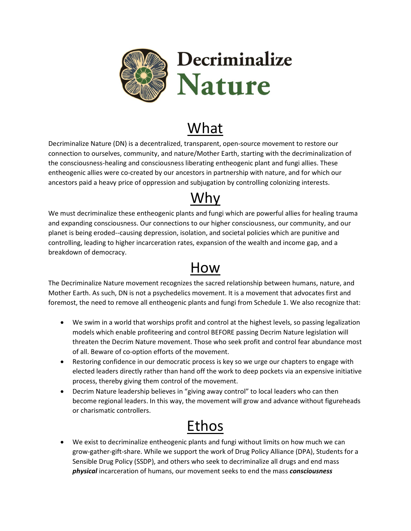

## What

Decriminalize Nature (DN) is a decentralized, transparent, open-source movement to restore our connection to ourselves, community, and nature/Mother Earth, starting with the decriminalization of the consciousness-healing and consciousness liberating entheogenic plant and fungi allies. These entheogenic allies were co-created by our ancestors in partnership with nature, and for which our ancestors paid a heavy price of oppression and subjugation by controlling colonizing interests.

## Why

We must decriminalize these entheogenic plants and fungi which are powerful allies for healing trauma and expanding consciousness. Our connections to our higher consciousness, our community, and our planet is being eroded--causing depression, isolation, and societal policies which are punitive and controlling, leading to higher incarceration rates, expansion of the wealth and income gap, and a breakdown of democracy.

## How

The Decriminalize Nature movement recognizes the sacred relationship between humans, nature, and Mother Earth. As such, DN is not a psychedelics movement. It is a movement that advocates first and foremost, the need to remove all entheogenic plants and fungi from Schedule 1. We also recognize that:

- We swim in a world that worships profit and control at the highest levels, so passing legalization models which enable profiteering and control BEFORE passing Decrim Nature legislation will threaten the Decrim Nature movement. Those who seek profit and control fear abundance most of all. Beware of co-option efforts of the movement.
- Restoring confidence in our democratic process is key so we urge our chapters to engage with elected leaders directly rather than hand off the work to deep pockets via an expensive initiative process, thereby giving them control of the movement.
- Decrim Nature leadership believes in "giving away control" to local leaders who can then become regional leaders. In this way, the movement will grow and advance without figureheads or charismatic controllers.

## Ethos

 We exist to decriminalize entheogenic plants and fungi without limits on how much we can grow-gather-gift-share. While we support the work of Drug Policy Alliance (DPA), Students for a Sensible Drug Policy (SSDP), and others who seek to decriminalize all drugs and end mass physical incarceration of humans, our movement seeks to end the mass consciousness